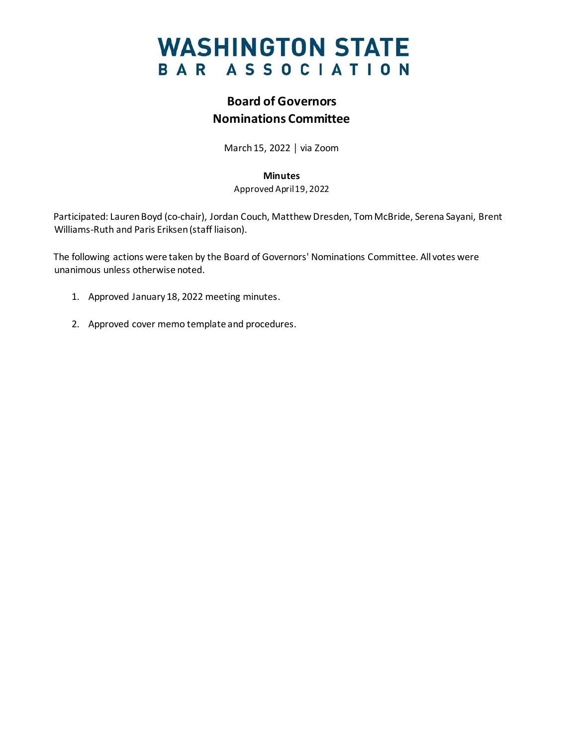

## **Board of Governors Nominations Committee**

March 15, 2022 │ via Zoom

#### **Minutes**

Approved April 19, 2022

Participated: Lauren Boyd (co-chair), Jordan Couch, Matthew Dresden, Tom McBride, Serena Sayani, Brent Williams-Ruth and Paris Eriksen(staff liaison).

The following actions were taken by the Board of Governors' Nominations Committee. All votes were unanimous unless otherwise noted.

- 1. Approved January 18, 2022 meeting minutes.
- 2. Approved cover memo template and procedures.